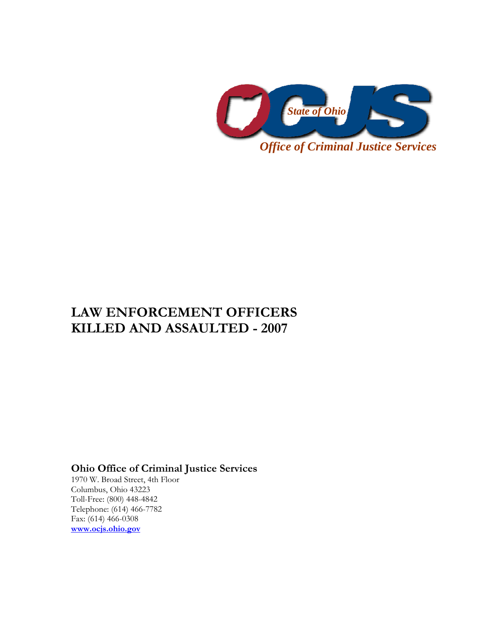

# **LAW ENFORCEMENT OFFICERS KILLED AND ASSAULTED - 2007**

## **Ohio Office of Criminal Justice Services**

1970 W. Broad Street, 4th Floor Columbus, Ohio 43223 Toll-Free: (800) 448-4842 Telephone: (614) 466-7782 Fax: (614) 466-0308 **www.ocjs.ohio.gov**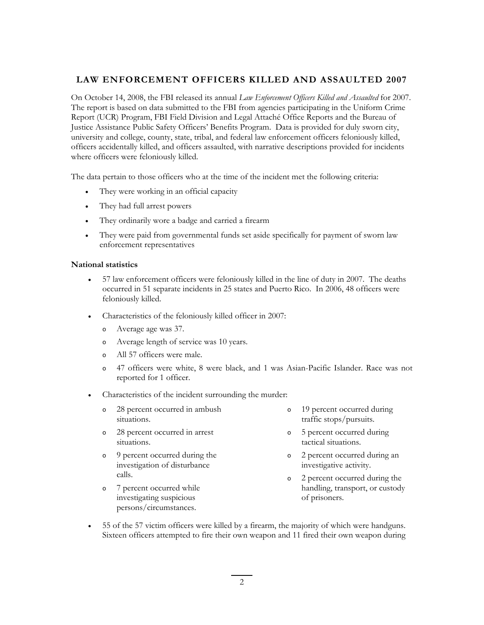### **LAW ENFORCEMENT OFFICERS KILLED AND ASSAULTED 2007**

On October 14, 2008, the FBI released its annual *Law Enforcement Officers Killed and Assaulted* for 2007. The report is based on data submitted to the FBI from agencies participating in the Uniform Crime Report (UCR) Program, FBI Field Division and Legal Attaché Office Reports and the Bureau of Justice Assistance Public Safety Officers' Benefits Program. Data is provided for duly sworn city, university and college, county, state, tribal, and federal law enforcement officers feloniously killed, officers accidentally killed, and officers assaulted, with narrative descriptions provided for incidents where officers were feloniously killed.

The data pertain to those officers who at the time of the incident met the following criteria:

- They were working in an official capacity
- They had full arrest powers
- They ordinarily wore a badge and carried a firearm
- They were paid from governmental funds set aside specifically for payment of sworn law enforcement representatives

#### **National statistics**

- 57 law enforcement officers were feloniously killed in the line of duty in 2007. The deaths occurred in 51 separate incidents in 25 states and Puerto Rico. In 2006, 48 officers were feloniously killed.
- Characteristics of the feloniously killed officer in 2007:
	- o Average age was 37.
	- o Average length of service was 10 years.
	- o All 57 officers were male.
	- o 47 officers were white, 8 were black, and 1 was Asian-Pacific Islander. Race was not reported for 1 officer.
- Characteristics of the incident surrounding the murder:
	- o 28 percent occurred in ambush situations. o 19 percent occurred during traffic stops/pursuits.
	- o 28 percent occurred in arrest situations.
	- o 9 percent occurred during the investigation of disturbance calls.

o 7 percent occurred while investigating suspicious persons/circumstances.

- o 5 percent occurred during tactical situations.
	- o 2 percent occurred during an investigative activity.
		- o 2 percent occurred during the handling, transport, or custody of prisoners.
- 55 of the 57 victim officers were killed by a firearm, the majority of which were handguns. Sixteen officers attempted to fire their own weapon and 11 fired their own weapon during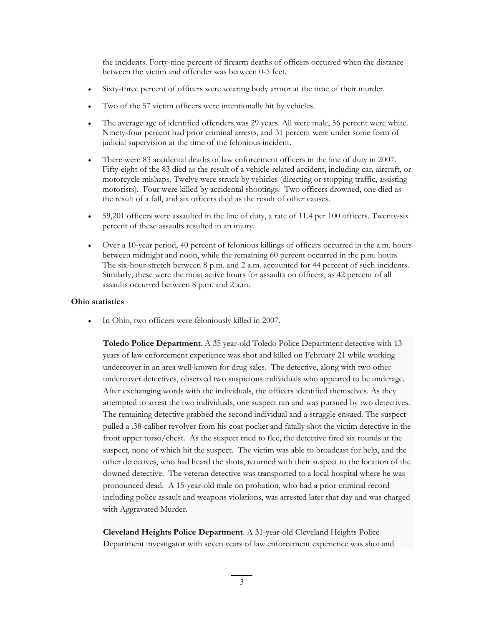the incidents. Forty-nine percent of firearm deaths of officers occurred when the distance between the victim and offender was between 0-5 feet.

- Sixty-three percent of officers were wearing body armor at the time of their murder.
- Two of the 57 victim officers were intentionally hit by vehicles.
- The average age of identified offenders was 29 years. All were male, 56 percent were white. Ninety-four percent had prior criminal arrests, and 31 percent were under some form of judicial supervision at the time of the felonious incident.
- There were 83 accidental deaths of law enforcement officers in the line of duty in 2007. Fifty-eight of the 83 died as the result of a vehicle-related accident, including car, aircraft, or motorcycle mishaps. Twelve were struck by vehicles (directing or stopping traffic, assisting motorists). Four were killed by accidental shootings. Two officers drowned, one died as the result of a fall, and six officers died as the result of other causes.
- 59,201 officers were assaulted in the line of duty, a rate of 11.4 per 100 officers. Twenty-six percent of these assaults resulted in an injury.
- Over a 10-year period, 40 percent of felonious killings of officers occurred in the a.m. hours between midnight and noon, while the remaining 60 percent occurred in the p.m. hours. The six-hour stretch between 8 p.m. and 2 a.m. accounted for 44 percent of such incidents. Similarly, these were the most active hours for assaults on officers, as 42 percent of all assaults occurred between 8 p.m. and 2 a.m.

#### **Ohio statistics**

In Ohio, two officers were feloniously killed in 2007.

**Toledo Police Department**. A 35 year-old Toledo Police Department detective with 13 years of law enforcement experience was shot and killed on February 21 while working undercover in an area well-known for drug sales. The detective, along with two other undercover detectives, observed two suspicious individuals who appeared to be underage. After exchanging words with the individuals, the officers identified themselves. As they attempted to arrest the two individuals, one suspect ran and was pursued by two detectives. The remaining detective grabbed the second individual and a struggle ensued. The suspect pulled a .38-caliber revolver from his coat pocket and fatally shot the victim detective in the front upper torso/chest. As the suspect tried to flee, the detective fired six rounds at the suspect, none of which hit the suspect. The victim was able to broadcast for help, and the other detectives, who had heard the shots, returned with their suspect to the location of the downed detective. The veteran detective was transported to a local hospital where he was pronounced dead. A 15-year-old male on probation, who had a prior criminal record including police assault and weapons violations, was arrested later that day and was charged with Aggravated Murder.

**Cleveland Heights Police Department**. A 31-year-old Cleveland Heights Police Department investigator with seven years of law enforcement experience was shot and